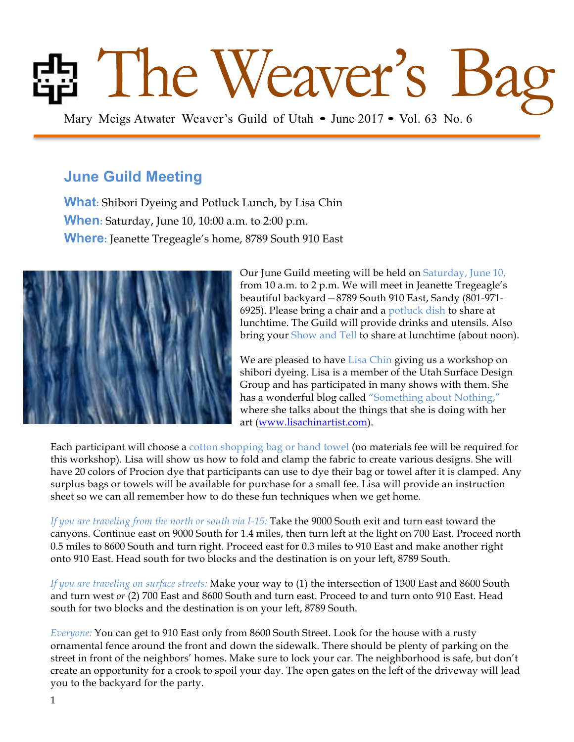# **Bang Mary Meigs Atwater Weaver's Guild of Utah • June 2017 • Vol. 63 No. 6**

# **June Guild Meeting**

**What:** Shibori Dyeing and Potluck Lunch, by Lisa Chin **When:** Saturday, June 10, 10:00 a.m. to 2:00 p.m. **Where:** Jeanette Tregeagle's home, 8789 South 910 East



Our June Guild meeting will be held on Saturday, June 10, from 10 a.m. to 2 p.m. We will meet in Jeanette Tregeagle's beautiful backyard—8789 South 910 East, Sandy (801-971- 6925). Please bring a chair and a potluck dish to share at lunchtime. The Guild will provide drinks and utensils. Also bring your Show and Tell to share at lunchtime (about noon).

We are pleased to have Lisa Chin giving us a workshop on shibori dyeing. Lisa is a member of the Utah Surface Design Group and has participated in many shows with them. She has a wonderful blog called "Something about Nothing," where she talks about the things that she is doing with her art (www.lisachinartist.com).

Each participant will choose a cotton shopping bag or hand towel (no materials fee will be required for this workshop). Lisa will show us how to fold and clamp the fabric to create various designs. She will have 20 colors of Procion dye that participants can use to dye their bag or towel after it is clamped. Any surplus bags or towels will be available for purchase for a small fee. Lisa will provide an instruction sheet so we can all remember how to do these fun techniques when we get home.

*If you are traveling from the north or south via I-15:* Take the 9000 South exit and turn east toward the canyons. Continue east on 9000 South for 1.4 miles, then turn left at the light on 700 East. Proceed north 0.5 miles to 8600 South and turn right. Proceed east for 0.3 miles to 910 East and make another right onto 910 East. Head south for two blocks and the destination is on your left, 8789 South.

*If you are traveling on surface streets:* Make your way to (1) the intersection of 1300 East and 8600 South and turn west *or* (2) 700 East and 8600 South and turn east. Proceed to and turn onto 910 East. Head south for two blocks and the destination is on your left, 8789 South.

*Everyone:* You can get to 910 East only from 8600 South Street. Look for the house with a rusty ornamental fence around the front and down the sidewalk. There should be plenty of parking on the street in front of the neighbors' homes. Make sure to lock your car. The neighborhood is safe, but don't create an opportunity for a crook to spoil your day. The open gates on the left of the driveway will lead you to the backyard for the party.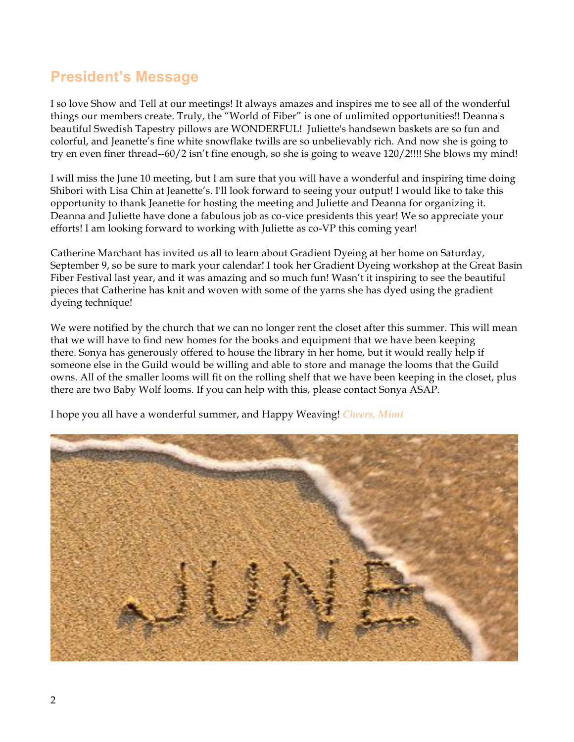# **President's Message**

I so love Show and Tell at our meetings! It always amazes and inspires me to see all of the wonderful things our members create. Truly, the "World of Fiber" is one of unlimited opportunities!! Deanna's beautiful Swedish Tapestry pillows are WONDERFUL! Juliette's handsewn baskets are so fun and colorful, and Jeanette's fine white snowflake twills are so unbelievably rich. And now she is going to try en even finer thread--60/2 isn't fine enough, so she is going to weave 120/2!!!! She blows my mind!

I will miss the June 10 meeting, but I am sure that you will have a wonderful and inspiring time doing Shibori with Lisa Chin at Jeanette's. I'll look forward to seeing your output! I would like to take this opportunity to thank Jeanette for hosting the meeting and Juliette and Deanna for organizing it. Deanna and Juliette have done a fabulous job as co-vice presidents this year! We so appreciate your efforts! I am looking forward to working with Juliette as co-VP this coming year!

Catherine Marchant has invited us all to learn about Gradient Dyeing at her home on Saturday, September 9, so be sure to mark your calendar! I took her Gradient Dyeing workshop at the Great Basin Fiber Festival last year, and it was amazing and so much fun! Wasn't it inspiring to see the beautiful pieces that Catherine has knit and woven with some of the yarns she has dyed using the gradient dyeing technique!

We were notified by the church that we can no longer rent the closet after this summer. This will mean that we will have to find new homes for the books and equipment that we have been keeping there. Sonya has generously offered to house the library in her home, but it would really help if someone else in the Guild would be willing and able to store and manage the looms that the Guild owns. All of the smaller looms will fit on the rolling shelf that we have been keeping in the closet, plus there are two Baby Wolf looms. If you can help with this, please contact Sonya ASAP.



I hope you all have a wonderful summer, and Happy Weaving! *Cheers, Mimi*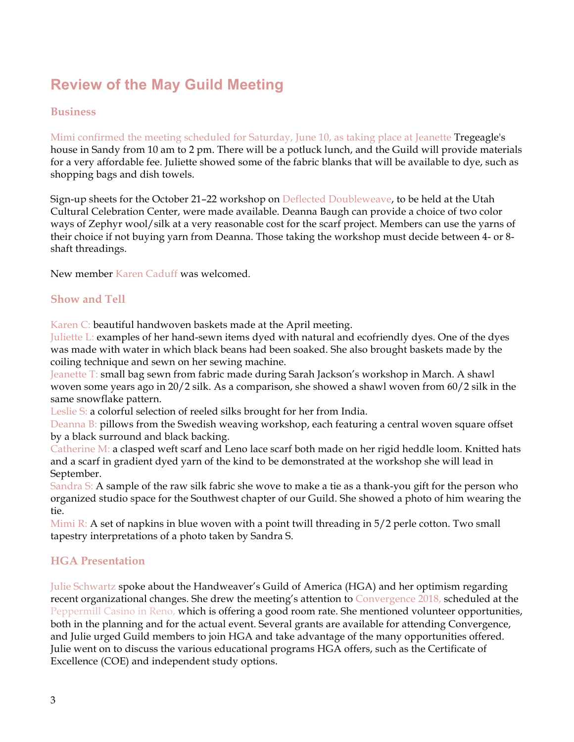# **Review of the May Guild Meeting**

### **Business**

Mimi confirmed the meeting scheduled for Saturday, June 10, as taking place at Jeanette Tregeagle's house in Sandy from 10 am to 2 pm. There will be a potluck lunch, and the Guild will provide materials for a very affordable fee. Juliette showed some of the fabric blanks that will be available to dye, such as shopping bags and dish towels.

Sign-up sheets for the October 21–22 workshop on Deflected Doubleweave, to be held at the Utah Cultural Celebration Center, were made available. Deanna Baugh can provide a choice of two color ways of Zephyr wool/silk at a very reasonable cost for the scarf project. Members can use the yarns of their choice if not buying yarn from Deanna. Those taking the workshop must decide between 4- or 8 shaft threadings.

New member Karen Caduff was welcomed.

### **Show and Tell**

Karen C: beautiful handwoven baskets made at the April meeting.

Juliette L: examples of her hand-sewn items dyed with natural and ecofriendly dyes. One of the dyes was made with water in which black beans had been soaked. She also brought baskets made by the coiling technique and sewn on her sewing machine.

Jeanette T: small bag sewn from fabric made during Sarah Jackson's workshop in March. A shawl woven some years ago in 20/2 silk. As a comparison, she showed a shawl woven from 60/2 silk in the same snowflake pattern.

Leslie S: a colorful selection of reeled silks brought for her from India.

Deanna B: pillows from the Swedish weaving workshop, each featuring a central woven square offset by a black surround and black backing.

Catherine M: a clasped weft scarf and Leno lace scarf both made on her rigid heddle loom. Knitted hats and a scarf in gradient dyed yarn of the kind to be demonstrated at the workshop she will lead in September.

Sandra S: A sample of the raw silk fabric she wove to make a tie as a thank-you gift for the person who organized studio space for the Southwest chapter of our Guild. She showed a photo of him wearing the tie.

Mimi R: A set of napkins in blue woven with a point twill threading in 5/2 perle cotton. Two small tapestry interpretations of a photo taken by Sandra S.

### **HGA Presentation**

Julie Schwartz spoke about the Handweaver's Guild of America (HGA) and her optimism regarding recent organizational changes. She drew the meeting's attention to Convergence 2018, scheduled at the Peppermill Casino in Reno, which is offering a good room rate. She mentioned volunteer opportunities, both in the planning and for the actual event. Several grants are available for attending Convergence, and Julie urged Guild members to join HGA and take advantage of the many opportunities offered. Julie went on to discuss the various educational programs HGA offers, such as the Certificate of Excellence (COE) and independent study options.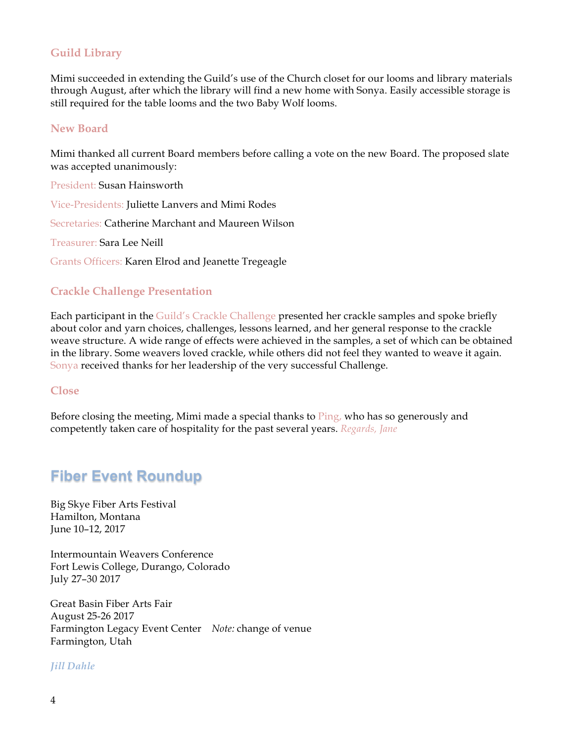## **Guild Library**

Mimi succeeded in extending the Guild's use of the Church closet for our looms and library materials through August, after which the library will find a new home with Sonya. Easily accessible storage is still required for the table looms and the two Baby Wolf looms.

### **New Board**

Mimi thanked all current Board members before calling a vote on the new Board. The proposed slate was accepted unanimously:

President: Susan Hainsworth

Vice-Presidents: Juliette Lanvers and Mimi Rodes

Secretaries: Catherine Marchant and Maureen Wilson

Treasurer: Sara Lee Neill

Grants Officers: Karen Elrod and Jeanette Tregeagle

### **Crackle Challenge Presentation**

Each participant in the Guild's Crackle Challenge presented her crackle samples and spoke briefly about color and yarn choices, challenges, lessons learned, and her general response to the crackle weave structure. A wide range of effects were achieved in the samples, a set of which can be obtained in the library. Some weavers loved crackle, while others did not feel they wanted to weave it again. Sonya received thanks for her leadership of the very successful Challenge.

### **Close**

Before closing the meeting, Mimi made a special thanks to Ping, who has so generously and competently taken care of hospitality for the past several years. *Regards, Jane*

# **Fiber Event Roundup**

Big Skye Fiber Arts Festival Hamilton, Montana June 10–12, 2017

Intermountain Weavers Conference Fort Lewis College, Durango, Colorado July 27–30 2017

Great Basin Fiber Arts Fair August 25-26 2017 Farmington Legacy Event Center *Note:* change of venue Farmington, Utah

### *Jill Dahle*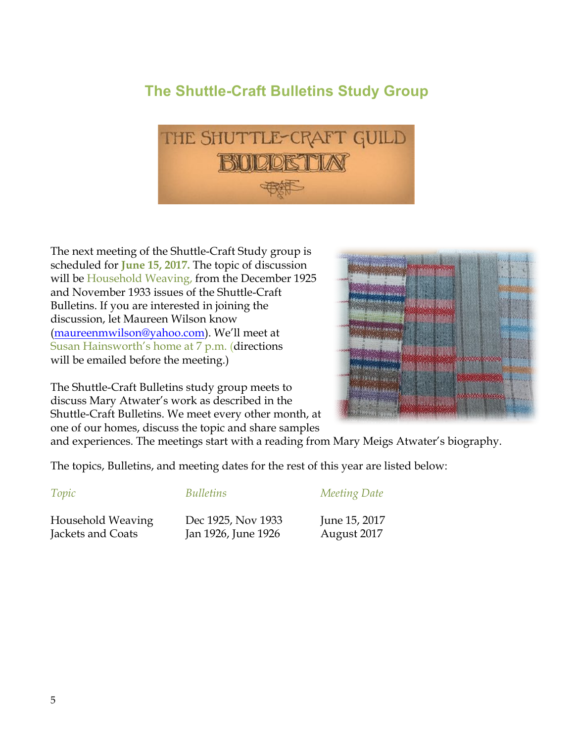# **The Shuttle-Craft Bulletins Study Group**



The next meeting of the Shuttle-Craft Study group is scheduled for **June 15, 2017.** The topic of discussion will be Household Weaving, from the December 1925 and November 1933 issues of the Shuttle-Craft Bulletins. If you are interested in joining the discussion, let Maureen Wilson know (maureenmwilson@yahoo.com). We'll meet at Susan Hainsworth's home at 7 p.m. (directions will be emailed before the meeting.)

The Shuttle-Craft Bulletins study group meets to discuss Mary Atwater's work as described in the Shuttle-Craft Bulletins. We meet every other month, at one of our homes, discuss the topic and share samples



and experiences. The meetings start with a reading from Mary Meigs Atwater's biography.

The topics, Bulletins, and meeting dates for the rest of this year are listed below:

### *Topic Bulletins Meeting Date*

Household Weaving Dec 1925, Nov 1933 June 15, 2017 Jackets and Coats Jan 1926, June 1926 August 2017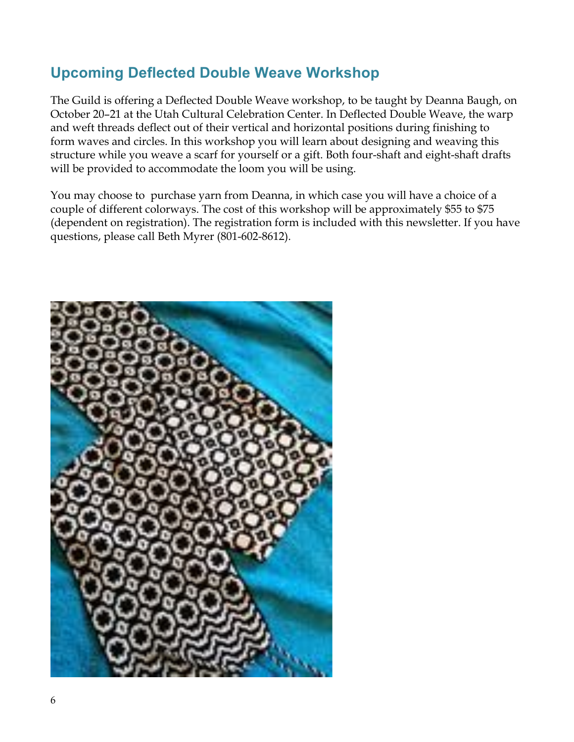# **Upcoming Deflected Double Weave Workshop**

The Guild is offering a Deflected Double Weave workshop, to be taught by Deanna Baugh, on October 20–21 at the Utah Cultural Celebration Center. In Deflected Double Weave, the warp and weft threads deflect out of their vertical and horizontal positions during finishing to form waves and circles. In this workshop you will learn about designing and weaving this structure while you weave a scarf for yourself or a gift. Both four-shaft and eight-shaft drafts will be provided to accommodate the loom you will be using.

You may choose to purchase yarn from Deanna, in which case you will have a choice of a couple of different colorways. The cost of this workshop will be approximately \$55 to \$75 (dependent on registration). The registration form is included with this newsletter. If you have questions, please call Beth Myrer (801-602-8612).

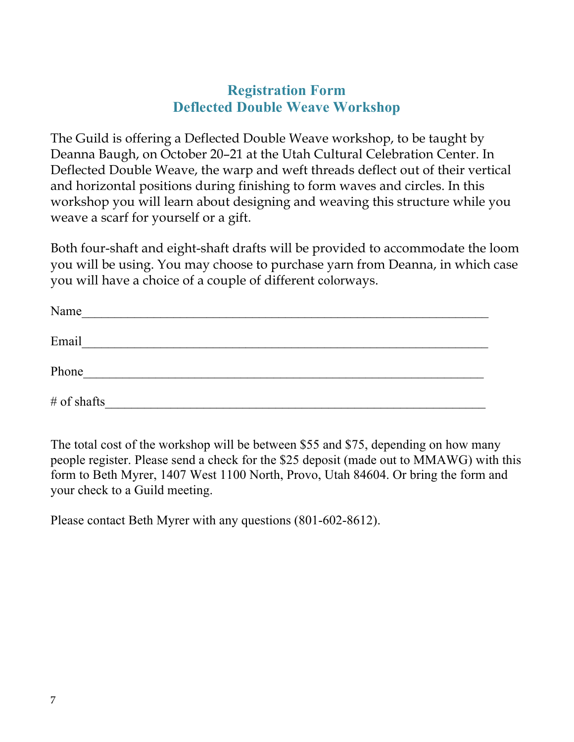# **Registration Form Deflected Double Weave Workshop**

The Guild is offering a Deflected Double Weave workshop, to be taught by Deanna Baugh, on October 20–21 at the Utah Cultural Celebration Center. In Deflected Double Weave, the warp and weft threads deflect out of their vertical and horizontal positions during finishing to form waves and circles. In this workshop you will learn about designing and weaving this structure while you weave a scarf for yourself or a gift.

Both four-shaft and eight-shaft drafts will be provided to accommodate the loom you will be using. You may choose to purchase yarn from Deanna, in which case you will have a choice of a couple of different colorways.

| Name          |  |  |
|---------------|--|--|
| Email         |  |  |
| Phone         |  |  |
| $#$ of shafts |  |  |

The total cost of the workshop will be between \$55 and \$75, depending on how many people register. Please send a check for the \$25 deposit (made out to MMAWG) with this form to Beth Myrer, 1407 West 1100 North, Provo, Utah 84604. Or bring the form and your check to a Guild meeting.

Please contact Beth Myrer with any questions (801-602-8612).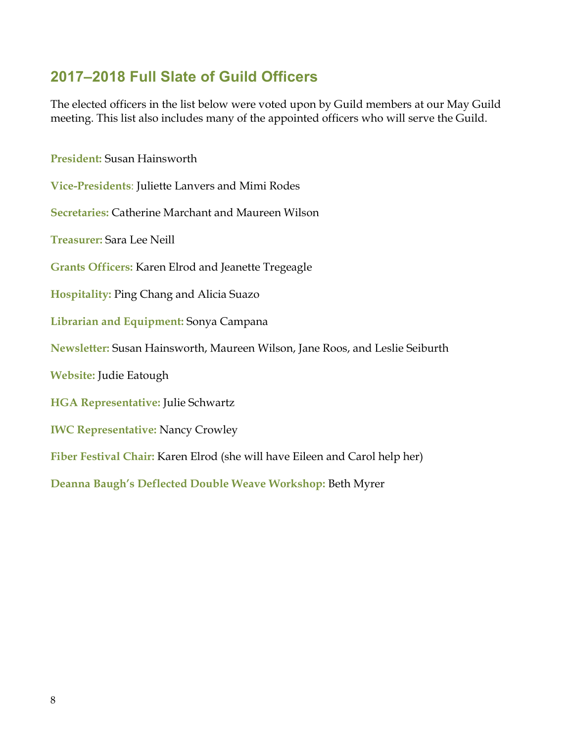# **2017–2018 Full Slate of Guild Officers**

The elected officers in the list below were voted upon by Guild members at our May Guild meeting. This list also includes many of the appointed officers who will serve the Guild.

**President:** Susan Hainsworth

**Vice-Presidents**: Juliette Lanvers and Mimi Rodes

**Secretaries:** Catherine Marchant and Maureen Wilson

**Treasurer:** Sara Lee Neill

**Grants Officers:** Karen Elrod and Jeanette Tregeagle

**Hospitality:** Ping Chang and Alicia Suazo

**Librarian and Equipment:** Sonya Campana

**Newsletter:** Susan Hainsworth, Maureen Wilson, Jane Roos, and Leslie Seiburth

**Website:** Judie Eatough

**HGA Representative:** Julie Schwartz

**IWC Representative:** Nancy Crowley

**Fiber Festival Chair:** Karen Elrod (she will have Eileen and Carol help her)

**Deanna Baugh's Deflected Double Weave Workshop:** Beth Myrer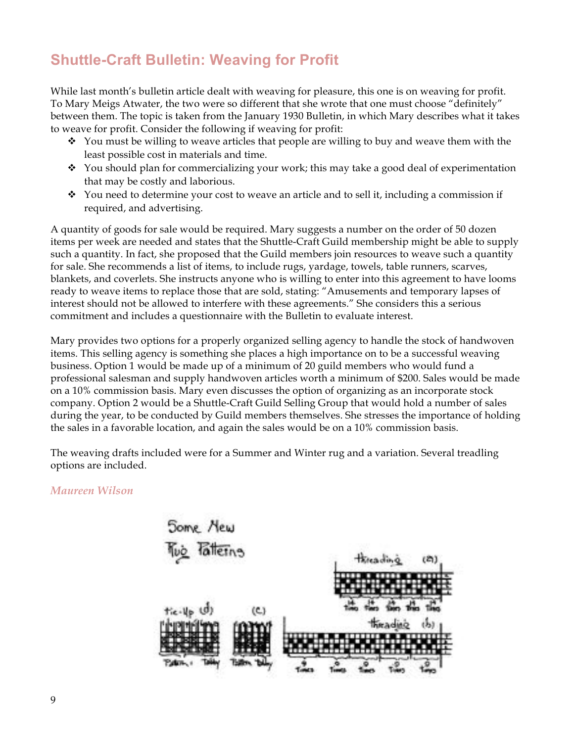# **Shuttle-Craft Bulletin: Weaving for Profit**

While last month's bulletin article dealt with weaving for pleasure, this one is on weaving for profit. To Mary Meigs Atwater, the two were so different that she wrote that one must choose "definitely" between them. The topic is taken from the January 1930 Bulletin, in which Mary describes what it takes to weave for profit. Consider the following if weaving for profit:

- $\cdot$  You must be willing to weave articles that people are willing to buy and weave them with the least possible cost in materials and time.
- $\div$  You should plan for commercializing your work; this may take a good deal of experimentation that may be costly and laborious.
- $\div$  You need to determine your cost to weave an article and to sell it, including a commission if required, and advertising.

A quantity of goods for sale would be required. Mary suggests a number on the order of 50 dozen items per week are needed and states that the Shuttle-Craft Guild membership might be able to supply such a quantity. In fact, she proposed that the Guild members join resources to weave such a quantity for sale. She recommends a list of items, to include rugs, yardage, towels, table runners, scarves, blankets, and coverlets. She instructs anyone who is willing to enter into this agreement to have looms ready to weave items to replace those that are sold, stating: "Amusements and temporary lapses of interest should not be allowed to interfere with these agreements." She considers this a serious commitment and includes a questionnaire with the Bulletin to evaluate interest.

Mary provides two options for a properly organized selling agency to handle the stock of handwoven items. This selling agency is something she places a high importance on to be a successful weaving business. Option 1 would be made up of a minimum of 20 guild members who would fund a professional salesman and supply handwoven articles worth a minimum of \$200. Sales would be made on a 10% commission basis. Mary even discusses the option of organizing as an incorporate stock company. Option 2 would be a Shuttle-Craft Guild Selling Group that would hold a number of sales during the year, to be conducted by Guild members themselves. She stresses the importance of holding the sales in a favorable location, and again the sales would be on a 10% commission basis.

The weaving drafts included were for a Summer and Winter rug and a variation. Several treadling options are included.

## *Maureen Wilson*